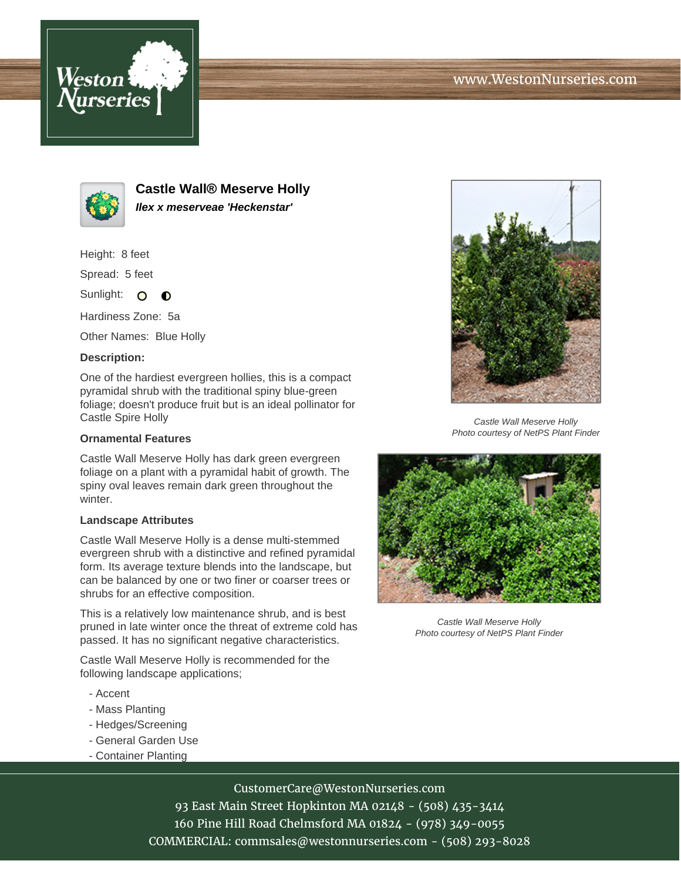



**Castle Wall® Meserve Holly Ilex x meserveae 'Heckenstar'**

Height: 8 feet

Spread: 5 feet

Sunlight: O  $\bullet$ 

Hardiness Zone: 5a

Other Names: Blue Holly

### **Description:**

One of the hardiest evergreen hollies, this is a compact pyramidal shrub with the traditional spiny blue-green foliage; doesn't produce fruit but is an ideal pollinator for Castle Spire Holly

#### **Ornamental Features**

Castle Wall Meserve Holly has dark green evergreen foliage on a plant with a pyramidal habit of growth. The spiny oval leaves remain dark green throughout the winter.

#### **Landscape Attributes**

Castle Wall Meserve Holly is a dense multi-stemmed evergreen shrub with a distinctive and refined pyramidal form. Its average texture blends into the landscape, but can be balanced by one or two finer or coarser trees or shrubs for an effective composition.

This is a relatively low maintenance shrub, and is best pruned in late winter once the threat of extreme cold has passed. It has no significant negative characteristics.

Castle Wall Meserve Holly is recommended for the following landscape applications;

- Accent
- Mass Planting
- Hedges/Screening
- General Garden Use
- Container Planting



Castle Wall Meserve Holly Photo courtesy of NetPS Plant Finder



Castle Wall Meserve Holly Photo courtesy of NetPS Plant Finder

# CustomerCare@WestonNurseries.com

93 East Main Street Hopkinton MA 02148 - (508) 435-3414 160 Pine Hill Road Chelmsford MA 01824 - (978) 349-0055 COMMERCIAL: commsales@westonnurseries.com - (508) 293-8028